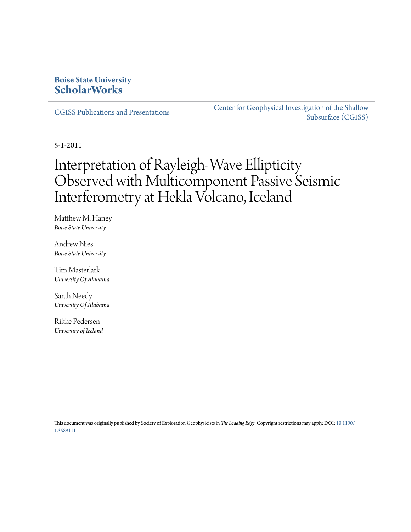## **Boise State University [ScholarWorks](https://scholarworks.boisestate.edu)**

[CGISS Publications and Presentations](https://scholarworks.boisestate.edu/cgiss_facpubs)

[Center for Geophysical Investigation of the Shallow](https://scholarworks.boisestate.edu/cgiss) [Subsurface \(CGISS\)](https://scholarworks.boisestate.edu/cgiss)

5-1-2011

# Interpretation of Rayleigh-Wave Ellipticity Observed with Multicomponent Passive Seismic Interferometry at Hekla Volcano, Iceland

Matthew M. Haney *Boise State University*

Andrew Nies *Boise State University*

Tim Masterlark *University Of Alabama*

Sarah Needy *University Of Alabama*

Rikke Pedersen *University of Iceland*

This document was originally published by Society of Exploration Geophysicists in *The Leading Edge*. Copyright restrictions may apply. DOI: [10.1190/](http://dx.doi.org/10.1190/1.3589111) [1.3589111](http://dx.doi.org/10.1190/1.3589111)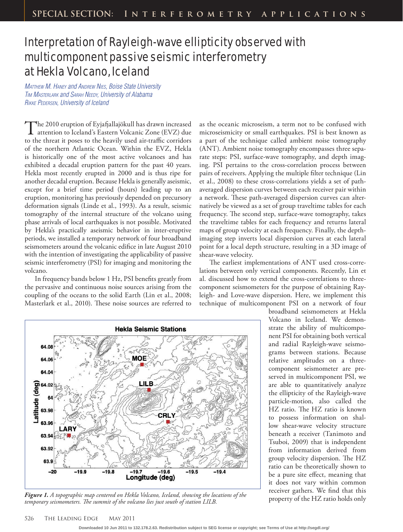## Interpretation of Rayleigh-wave ellipticity observed with multicomponent passive seismic interferometry at Hekla Volcano, Iceland

**MATTHEW M. HANEY and ANDREW NIES, Boise State University** TIM MASTERLARK and SARAH NEEDY, University of Alabama RIKKE PEDERSEN, University of Iceland

The 2010 eruption of Eyjafjallajökull has drawn increased attention to Iceland's Eastern Volcanic Zone (EVZ) due to the threat it poses to the heavily used air-traffic corridors of the northern Atlantic Ocean. Within the EVZ, Hekla is historically one of the most active volcanoes and has exhibited a decadal eruption pattern for the past 40 years. Hekla most recently erupted in 2000 and is thus ripe for another decadal eruption. Because Hekla is generally aseismic, except for a brief time period (hours) leading up to an eruption, monitoring has previously depended on precursory deformation signals (Linde et al., 1993). As a result, seismic tomography of the internal structure of the volcano using phase arrivals of local earthquakes is not possible. Motivated by Hekla's practically aseismic behavior in inter-eruptive periods, we installed a temporary network of four broadband seismometers around the volcanic edifice in late August 2010 with the intention of investigating the applicability of passive seismic interferometry (PSI) for imaging and monitoring the volcano.

In frequency bands below 1 Hz, PSI benefits greatly from the pervasive and continuous noise sources arising from the coupling of the oceans to the solid Earth (Lin et al., 2008; Masterlark et al., 2010). These noise sources are referred to

as the oceanic microseism, a term not to be confused with microseismicity or small earthquakes. PSI is best known as a part of the technique called ambient noise tomography (ANT). Ambient noise tomography encompasses three separate steps: PSI, surface-wave tomography, and depth imaging. PSI pertains to the cross-correlation process between pairs of receivers. Applying the multiple filter technique (Lin et al., 2008) to these cross-correlations yields a set of pathaveraged dispersion curves between each receiver pair within a network. These path-averaged dispersion curves can alternatively be viewed as a set of group traveltime tables for each frequency. The second step, surface-wave tomography, takes the traveltime tables for each frequency and returns lateral maps of group velocity at each frequency. Finally, the depthimaging step inverts local dispersion curves at each lateral point for a local depth structure, resulting in a 3D image of shear-wave velocity.

The earliest implementations of ANT used cross-correlations between only vertical components. Recently, Lin et al. discussed how to extend the cross-correlations to threecomponent seismometers for the purpose of obtaining Rayleigh- and Love-wave dispersion. Here, we implement this technique of multicomponent PSI on a network of four



property of the HZ ratio holds only *Figure 1. A topographic map centered on Hekla Volcano, Iceland, showing the locations of the temporary seismometers. The summit of the volcano lies just south of station LILB.* 

broadband seismometers at Hekla Volcano in Iceland. We demonstrate the ability of multicomponent PSI for obtaining both vertical and radial Rayleigh-wave seismograms between stations. Because relative amplitudes on a threecomponent seismometer are preserved in multicomponent PSI, we are able to quantitatively analyze the ellipticity of the Rayleigh-wave particle-motion, also called the HZ ratio. The HZ ratio is known to possess information on shallow shear-wave velocity structure beneath a receiver (Tanimoto and Tsuboi, 2009) that is independent from information derived from group velocity dispersion. The HZ ratio can be theoretically shown to be a pure site effect, meaning that it does not vary within common receiver gathers. We find that this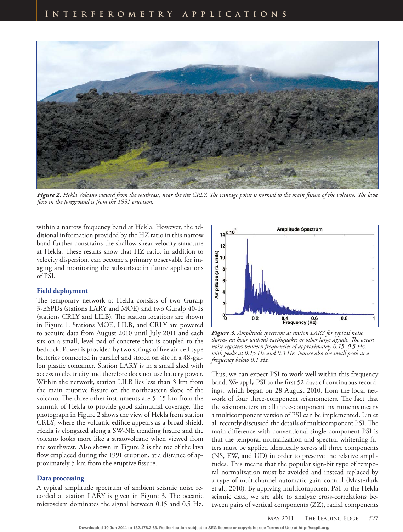

Figure 2. Hekla Volcano viewed from the southeast, near the site CRLY. The vantage point is normal to the main fissure of the volcano. The lava flow in the foreground is from the 1991 eruption.

within a narrow frequency band at Hekla. However, the additional information provided by the HZ ratio in this narrow band further constrains the shallow shear velocity structure at Hekla. These results show that HZ ratio, in addition to velocity dispersion, can become a primary observable for imaging and monitoring the subsurface in future applications of PSI.

### **Field deployment**

The temporary network at Hekla consists of two Guralp 3-ESPDs (stations LARY and MOE) and two Guralp 40-Ts (stations CRLY and LILB). The station locations are shown in Figure 1. Stations MOE, LILB, and CRLY are powered to acquire data from August 2010 until July 2011 and each sits on a small, level pad of concrete that is coupled to the bedrock. Power is provided by two strings of five air-cell type batteries connected in parallel and stored on site in a 48-gallon plastic container. Station LARY is in a small shed with access to electricity and therefore does not use battery power. Within the network, station LILB lies less than 3 km from the main eruptive fissure on the northeastern slope of the volcano. The three other instruments are 5–15 km from the summit of Hekla to provide good azimuthal coverage. The photograph in Figure 2 shows the view of Hekla from station CRLY, where the volcanic edifice appears as a broad shield. Hekla is elongated along a SW-NE trending fissure and the volcano looks more like a stratovolcano when viewed from the southwest. Also shown in Figure 2 is the toe of the lava flow emplaced during the 1991 eruption, at a distance of approximately 5 km from the eruptive fissure.

### **Data processing**

A typical amplitude spectrum of ambient seismic noise recorded at station LARY is given in Figure 3. The oceanic microseism dominates the signal between 0.15 and 0.5 Hz.



*Figure 3. Amplitude spectrum at station LARY for typical noise during an hour without earthquakes or other large signals. The ocean noise registers between frequencies of approximately 0.15–0.5 Hz, with peaks at 0.15 Hz and 0.3 Hz. Notice also the small peak at a frequency below 0.1 Hz.*

Thus, we can expect PSI to work well within this frequency band. We apply PSI to the first 52 days of continuous recordings, which began on 28 August 2010, from the local network of four three-component seismometers. The fact that the seismometers are all three-component instruments means a multicomponent version of PSI can be implemented. Lin et al. recently discussed the details of multicomponent PSI. The main difference with conventional single-component PSI is that the temporal-normalization and spectral-whitening filters must be applied identically across all three components (NS, EW, and UD) in order to preserve the relative amplitudes. This means that the popular sign-bit type of temporal normalization must be avoided and instead replaced by a type of multichannel automatic gain control (Masterlark et al., 2010). By applying multicomponent PSI to the Hekla seismic data, we are able to analyze cross-correlations between pairs of vertical components (ZZ), radial components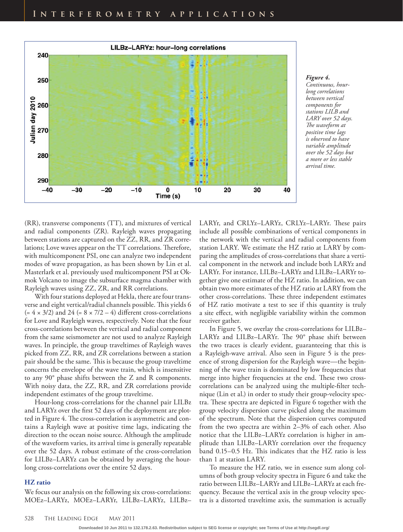

*Figure 4. Continuous, hourlong correlations between vertical components for stations LILB and LARY over 52 days. The waveform at positive time lags is observed to have variable amplitude over the 52 days but a more or less stable arrival time.*

(RR), transverse components (TT), and mixtures of vertical and radial components (ZR). Rayleigh waves propagating between stations are captured on the ZZ, RR, and ZR correlations; Love waves appear on the TT correlations. Therefore, with multicomponent PSI, one can analyze two independent modes of wave propagation, as has been shown by Lin et al. Masterlark et al. previously used multicomponent PSI at Okmok Volcano to image the subsurface magma chamber with Rayleigh waves using ZZ, ZR, and RR correlations.

With four stations deployed at Hekla, there are four transverse and eight vertical/radial channels possible. This yields 6  $(= 4 \times 3/2)$  and 24  $(= 8 \times 7/2 - 4)$  different cross-correlations for Love and Rayleigh waves, respectively. Note that the four cross-correlations between the vertical and radial component from the same seismometer are not used to analyze Rayleigh waves. In principle, the group traveltimes of Rayleigh waves picked from ZZ, RR, and ZR correlations between a station pair should be the same. This is because the group traveltime concerns the envelope of the wave train, which is insensitive to any 90° phase shifts between the Z and R components. With noisy data, the ZZ, RR, and ZR correlations provide independent estimates of the group traveltime.

Hour-long cross-correlations for the channel pair LILBz and LARYz over the first 52 days of the deployment are plotted in Figure 4. The cross-correlation is asymmetric and contains a Rayleigh wave at positive time lags, indicating the direction to the ocean noise source. Although the amplitude of the waveform varies, its arrival time is generally repeatable over the 52 days. A robust estimate of the cross-correlation for LILBz–LARYz can be obtained by averaging the hourlong cross-correlations over the entire 52 days.

### **HZ ratio**

We focus our analysis on the following six cross-correlations: MOEz–LARYz, MOEz–LARYr, LILBz–LARYz, LILBz–

LARYr, and CRLYz-LARYz, CRLYz-LARYr. These pairs include all possible combinations of vertical components in the network with the vertical and radial components from station LARY. We estimate the HZ ratio at LARY by comparing the amplitudes of cross-correlations that share a vertical component in the network and include both LARYz and LARYr. For instance, LILBz–LARYz and LILBz–LARYr together give one estimate of the HZ ratio. In addition, we can obtain two more estimates of the HZ ratio at LARY from the other cross-correlations. These three independent estimates of HZ ratio motivate a test to see if this quantity is truly a site effect, with negligible variability within the common receiver gather.

In Figure 5, we overlay the cross-correlations for LILBz– LARYz and LILBz-LARYr. The 90° phase shift between the two traces is clearly evident, guaranteeing that this is a Rayleigh-wave arrival. Also seen in Figure 5 is the presence of strong dispersion for the Rayleigh wave—the beginning of the wave train is dominated by low frequencies that merge into higher frequencies at the end. These two crosscorrelations can be analyzed using the multiple-filter technique (Lin et al.) in order to study their group-velocity spectra. These spectra are depicted in Figure 6 together with the group velocity dispersion curve picked along the maximum of the spectrum. Note that the dispersion curves computed from the two spectra are within 2–3% of each other. Also notice that the LILBz–LARYz correlation is higher in amplitude than LILBz–LARYr correlation over the frequency band  $0.15-0.5$  Hz. This indicates that the HZ ratio is less than 1 at station LARY.

To measure the HZ ratio, we in essence sum along columns of both group velocity spectra in Figure 6 and take the ratio between LILBz–LARYr and LILBz–LARYz at each frequency. Because the vertical axis in the group velocity spectra is a distorted traveltime axis, the summation is actually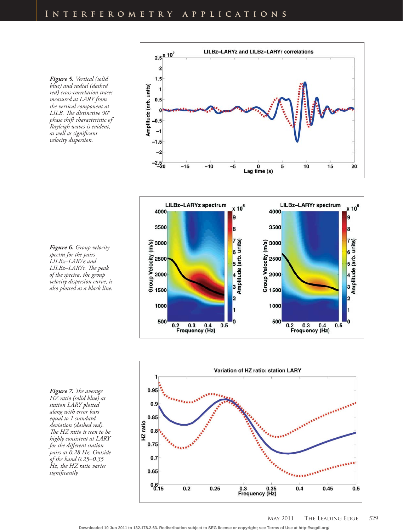*Figure 5. Vertical (solid blue) and radial (dashed red) cross-correlation traces measured at LARY from the vertical component at*  LILB. The distinctive 90° *phase shift characteristic of Rayleigh waves is evident, as well as signifi cant velocity dispersion.*

*Figure 6. Group velocity spectra for the pairs LILBz–LARYz and*  LILBz-LARYr. The peak *of the spectra, the group velocity dispersion curve, is also plotted as a black line.*

**Figure 7.** The average *HZ ratio (solid blue) at station LARY plotted along with error bars equal to 1 standard deviation (dashed red). The HZ ratio is seen to be highly consistent at LARY*  for the different station *pairs at 0.28 Hz. Outside of the band 0.25–0.35 Hz, the HZ ratio varies signifi cantly*





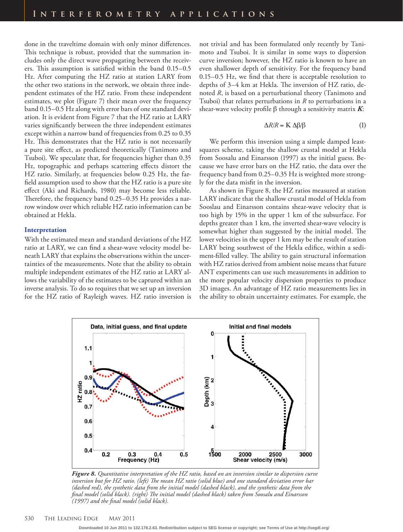done in the traveltime domain with only minor differences. This technique is robust, provided that the summation includes only the direct wave propagating between the receivers. This assumption is satisfied within the band  $0.15-0.5$ Hz. After computing the HZ ratio at station LARY from the other two stations in the network, we obtain three independent estimates of the HZ ratio. From these independent estimates, we plot (Figure 7) their mean over the frequency band 0.15–0.5 Hz along with error bars of one standard deviation. It is evident from Figure 7 that the HZ ratio at LARY varies significantly between the three independent estimates except within a narrow band of frequencies from 0.25 to 0.35 Hz. This demonstrates that the HZ ratio is not necessarily a pure site effect, as predicted theoretically (Tanimoto and Tsuboi). We speculate that, for frequencies higher than 0.35 Hz, topographic and perhaps scattering effects distort the HZ ratio. Similarly, at frequencies below 0.25 Hz, the farfield assumption used to show that the HZ ratio is a pure site effect (Aki and Richards, 1980) may become less reliable. Therefore, the frequency band 0.25-0.35 Hz provides a narrow window over which reliable HZ ratio information can be obtained at Hekla.

### **Interpretation**

With the estimated mean and standard deviations of the HZ ratio at LARY, we can find a shear-wave velocity model beneath LARY that explains the observations within the uncertainties of the measurements. Note that the ability to obtain multiple independent estimates of the HZ ratio at LARY allows the variability of the estimates to be captured within an inverse analysis. To do so requires that we set up an inversion for the HZ ratio of Rayleigh waves. HZ ratio inversion is not trivial and has been formulated only recently by Tanimoto and Tsuboi. It is similar in some ways to dispersion curve inversion; however, the HZ ratio is known to have an even shallower depth of sensitivity. For the frequency band  $0.15-0.5$  Hz, we find that there is acceptable resolution to depths of 3–4 km at Hekla. The inversion of HZ ratio, denoted *R*, is based on a perturbational theory (Tanimoto and Tsuboi) that relates perturbations in *R* to perturbations in a shear-wave velocity profile  $\beta$  through a sensitivity matrix  $K$ :

$$
\Delta R/R = \mathbf{K} \; \Delta \beta / \beta \tag{1}
$$

We perform this inversion using a simple damped leastsquares scheme, taking the shallow crustal model at Hekla from Soosalu and Einarsson (1997) as the initial guess. Because we have error bars on the HZ ratio, the data over the frequency band from 0.25–0.35 Hz is weighted more strongly for the data misfit in the inversion.

As shown in Figure 8, the HZ ratios measured at station LARY indicate that the shallow crustal model of Hekla from Sooslau and Einarsson contains shear-wave velocity that is too high by 15% in the upper 1 km of the subsurface. For depths greater than 1 km, the inverted shear-wave velocity is somewhat higher than suggested by the initial model. The lower velocities in the upper 1 km may be the result of station LARY being southwest of the Hekla edifice, within a sediment-filled valley. The ability to gain structural information with HZ ratios derived from ambient noise means that future ANT experiments can use such measurements in addition to the more popular velocity dispersion properties to produce 3D images. An advantage of HZ ratio measurements lies in the ability to obtain uncertainty estimates. For example, the



*Figure 8. Quantitative interpretation of the HZ ratio, based on an inversion similar to dispersion curve*  inversion but for HZ ratio. (left) The mean HZ ratio (solid blue) and one standard deviation error bar *(dashed red), the synthetic data from the initial model (dashed black), and the synthetic data from the final model (solid black). (right) The initial model (dashed black) taken from Soosalu and Einarsson (1997) and the fi nal model (solid black).*